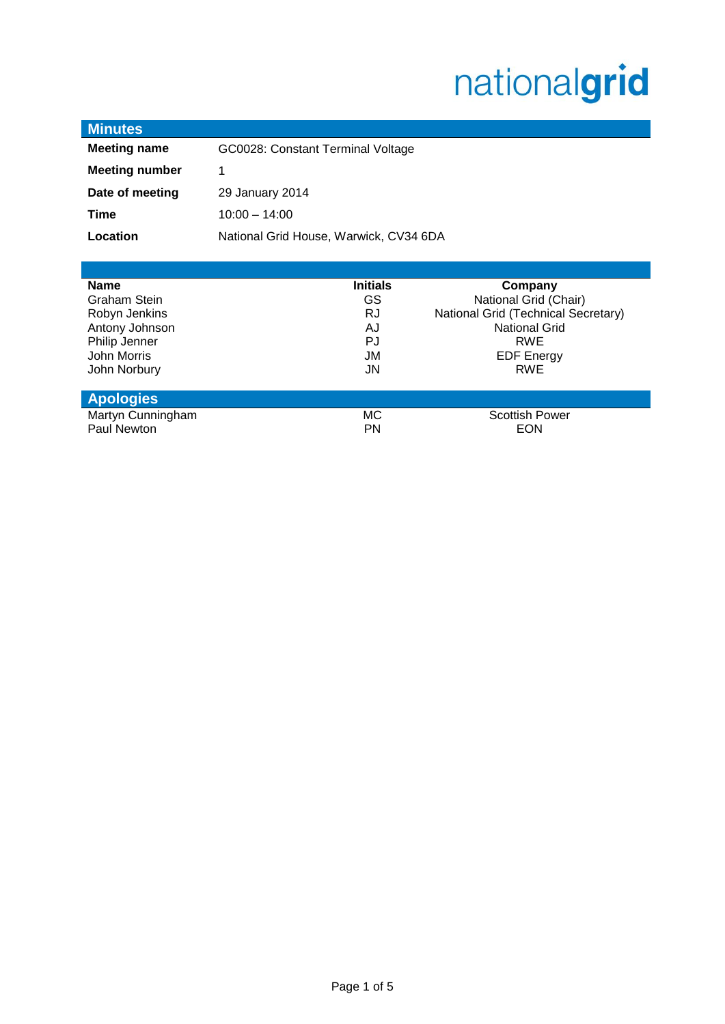# nationalgrid

| <b>Minutes</b>        |                                        |  |
|-----------------------|----------------------------------------|--|
| <b>Meeting name</b>   | GC0028: Constant Terminal Voltage      |  |
| <b>Meeting number</b> | 1                                      |  |
| Date of meeting       | 29 January 2014                        |  |
| Time                  | $10:00 - 14:00$                        |  |
| Location              | National Grid House, Warwick, CV34 6DA |  |
|                       |                                        |  |

| <b>Name</b>         | <b>Initials</b> | Company                             |
|---------------------|-----------------|-------------------------------------|
| <b>Graham Stein</b> | GS              | National Grid (Chair)               |
| Robyn Jenkins       | RJ              | National Grid (Technical Secretary) |
| Antony Johnson      | AJ              | <b>National Grid</b>                |
| Philip Jenner       | PJ              | <b>RWE</b>                          |
| John Morris         | JM              | <b>EDF Energy</b>                   |
| John Norbury        | JN              | <b>RWE</b>                          |
|                     |                 |                                     |
| <b>Apologies</b>    |                 |                                     |
| Martyn Cunningham   | MC.             | <b>Scottish Power</b>               |
| Paul Newton         | PN              | EON                                 |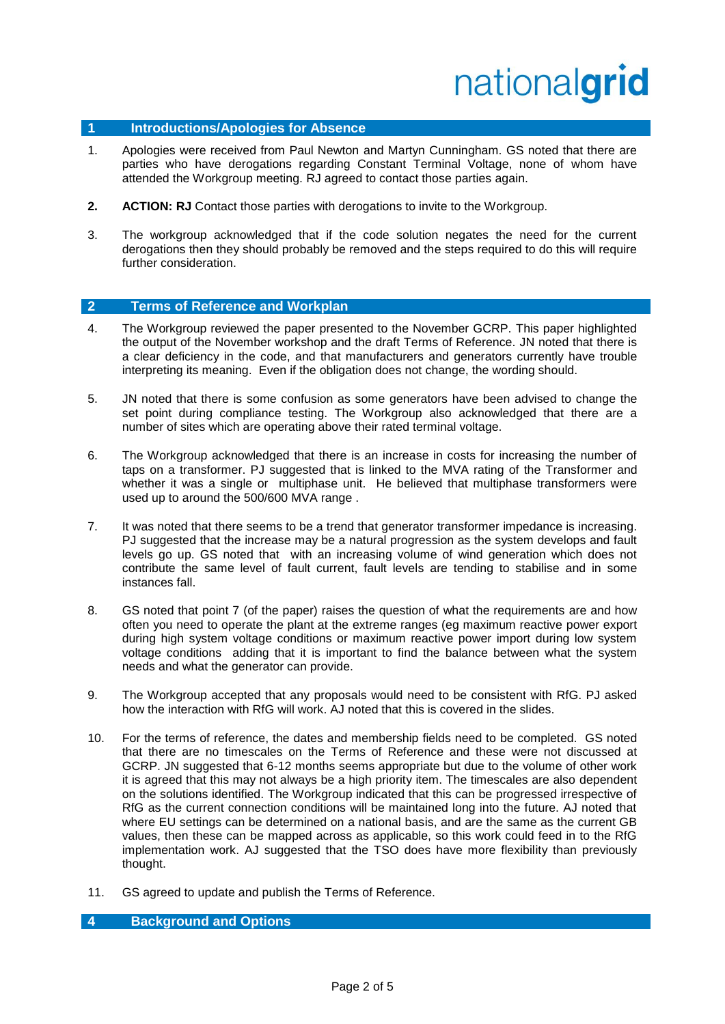# nationalgrid

## **1 Introductions/Apologies for Absence**

- 1. Apologies were received from Paul Newton and Martyn Cunningham. GS noted that there are parties who have derogations regarding Constant Terminal Voltage, none of whom have attended the Workgroup meeting. RJ agreed to contact those parties again.
- **2. ACTION: RJ** Contact those parties with derogations to invite to the Workgroup.
- 3. The workgroup acknowledged that if the code solution negates the need for the current derogations then they should probably be removed and the steps required to do this will require further consideration.

#### **2 Terms of Reference and Workplan**

- 4. The Workgroup reviewed the paper presented to the November GCRP. This paper highlighted the output of the November workshop and the draft Terms of Reference. JN noted that there is a clear deficiency in the code, and that manufacturers and generators currently have trouble interpreting its meaning. Even if the obligation does not change, the wording should.
- 5. JN noted that there is some confusion as some generators have been advised to change the set point during compliance testing. The Workgroup also acknowledged that there are a number of sites which are operating above their rated terminal voltage.
- 6. The Workgroup acknowledged that there is an increase in costs for increasing the number of taps on a transformer. PJ suggested that is linked to the MVA rating of the Transformer and whether it was a single or multiphase unit. He believed that multiphase transformers were used up to around the 500/600 MVA range .
- 7. It was noted that there seems to be a trend that generator transformer impedance is increasing. PJ suggested that the increase may be a natural progression as the system develops and fault levels go up. GS noted that with an increasing volume of wind generation which does not contribute the same level of fault current, fault levels are tending to stabilise and in some instances fall.
- 8. GS noted that point 7 (of the paper) raises the question of what the requirements are and how often you need to operate the plant at the extreme ranges (eg maximum reactive power export during high system voltage conditions or maximum reactive power import during low system voltage conditions adding that it is important to find the balance between what the system needs and what the generator can provide.
- 9. The Workgroup accepted that any proposals would need to be consistent with RfG. PJ asked how the interaction with RfG will work. AJ noted that this is covered in the slides.
- 10. For the terms of reference, the dates and membership fields need to be completed. GS noted that there are no timescales on the Terms of Reference and these were not discussed at GCRP. JN suggested that 6-12 months seems appropriate but due to the volume of other work it is agreed that this may not always be a high priority item. The timescales are also dependent on the solutions identified. The Workgroup indicated that this can be progressed irrespective of RfG as the current connection conditions will be maintained long into the future. AJ noted that where EU settings can be determined on a national basis, and are the same as the current GB values, then these can be mapped across as applicable, so this work could feed in to the RfG implementation work. AJ suggested that the TSO does have more flexibility than previously thought.
- 11. GS agreed to update and publish the Terms of Reference.

### **4 Background and Options**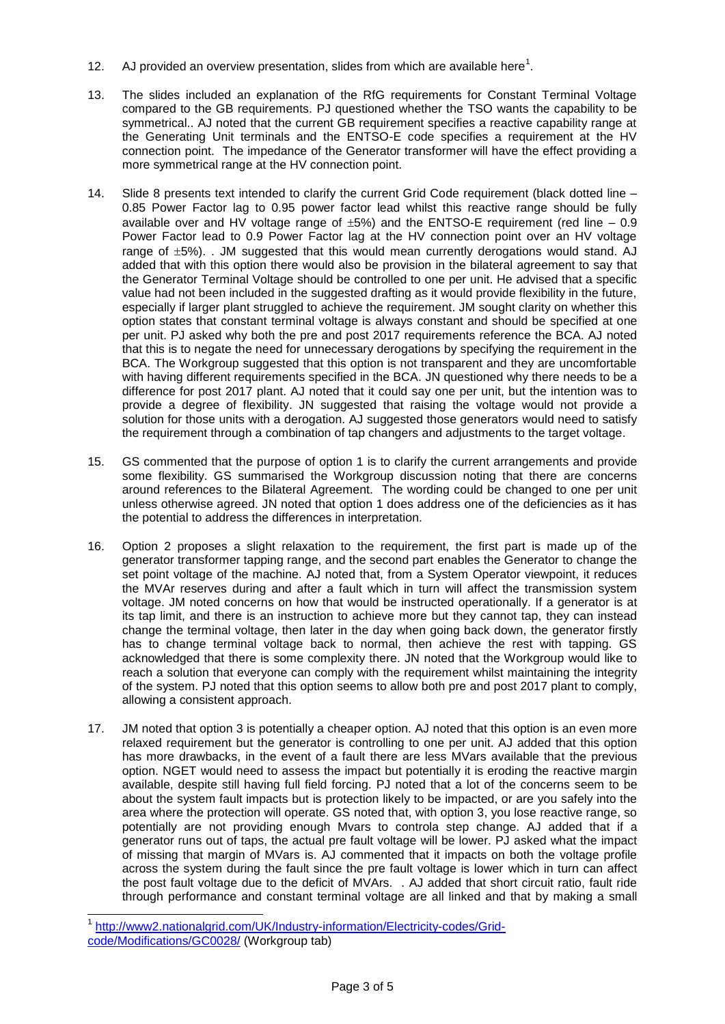- 12. AJ provided an overview presentation, slides from which are available here<sup>1</sup>.
- 13. The slides included an explanation of the RfG requirements for Constant Terminal Voltage compared to the GB requirements. PJ questioned whether the TSO wants the capability to be symmetrical.. AJ noted that the current GB requirement specifies a reactive capability range at the Generating Unit terminals and the ENTSO-E code specifies a requirement at the HV connection point. The impedance of the Generator transformer will have the effect providing a more symmetrical range at the HV connection point.
- 14. Slide 8 presents text intended to clarify the current Grid Code requirement (black dotted line 0.85 Power Factor lag to 0.95 power factor lead whilst this reactive range should be fully available over and HV voltage range of  $\pm 5\%$ ) and the ENTSO-E requirement (red line – 0.9 Power Factor lead to 0.9 Power Factor lag at the HV connection point over an HV voltage range of  $\pm 5$ %). . JM suggested that this would mean currently derogations would stand. AJ added that with this option there would also be provision in the bilateral agreement to say that the Generator Terminal Voltage should be controlled to one per unit. He advised that a specific value had not been included in the suggested drafting as it would provide flexibility in the future, especially if larger plant struggled to achieve the requirement. JM sought clarity on whether this option states that constant terminal voltage is always constant and should be specified at one per unit. PJ asked why both the pre and post 2017 requirements reference the BCA. AJ noted that this is to negate the need for unnecessary derogations by specifying the requirement in the BCA. The Workgroup suggested that this option is not transparent and they are uncomfortable with having different requirements specified in the BCA. JN questioned why there needs to be a difference for post 2017 plant. AJ noted that it could say one per unit, but the intention was to provide a degree of flexibility. JN suggested that raising the voltage would not provide a solution for those units with a derogation. AJ suggested those generators would need to satisfy the requirement through a combination of tap changers and adjustments to the target voltage.
- 15. GS commented that the purpose of option 1 is to clarify the current arrangements and provide some flexibility. GS summarised the Workgroup discussion noting that there are concerns around references to the Bilateral Agreement. The wording could be changed to one per unit unless otherwise agreed. JN noted that option 1 does address one of the deficiencies as it has the potential to address the differences in interpretation.
- 16. Option 2 proposes a slight relaxation to the requirement, the first part is made up of the generator transformer tapping range, and the second part enables the Generator to change the set point voltage of the machine. AJ noted that, from a System Operator viewpoint, it reduces the MVAr reserves during and after a fault which in turn will affect the transmission system voltage. JM noted concerns on how that would be instructed operationally. If a generator is at its tap limit, and there is an instruction to achieve more but they cannot tap, they can instead change the terminal voltage, then later in the day when going back down, the generator firstly has to change terminal voltage back to normal, then achieve the rest with tapping. GS acknowledged that there is some complexity there. JN noted that the Workgroup would like to reach a solution that everyone can comply with the requirement whilst maintaining the integrity of the system. PJ noted that this option seems to allow both pre and post 2017 plant to comply, allowing a consistent approach.
- 17. JM noted that option 3 is potentially a cheaper option. AJ noted that this option is an even more relaxed requirement but the generator is controlling to one per unit. AJ added that this option has more drawbacks, in the event of a fault there are less MVars available that the previous option. NGET would need to assess the impact but potentially it is eroding the reactive margin available, despite still having full field forcing. PJ noted that a lot of the concerns seem to be about the system fault impacts but is protection likely to be impacted, or are you safely into the area where the protection will operate. GS noted that, with option 3, you lose reactive range, so potentially are not providing enough Mvars to controla step change. AJ added that if a generator runs out of taps, the actual pre fault voltage will be lower. PJ asked what the impact of missing that margin of MVars is. AJ commented that it impacts on both the voltage profile across the system during the fault since the pre fault voltage is lower which in turn can affect the post fault voltage due to the deficit of MVArs. . AJ added that short circuit ratio, fault ride through performance and constant terminal voltage are all linked and that by making a small

 $\overline{\phantom{a}}$ 

<sup>1</sup> [http://www2.nationalgrid.com/UK/Industry-information/Electricity-codes/Grid](http://www2.nationalgrid.com/UK/Industry-information/Electricity-codes/Grid-code/Modifications/GC0028/)[code/Modifications/GC0028/](http://www2.nationalgrid.com/UK/Industry-information/Electricity-codes/Grid-code/Modifications/GC0028/) (Workgroup tab)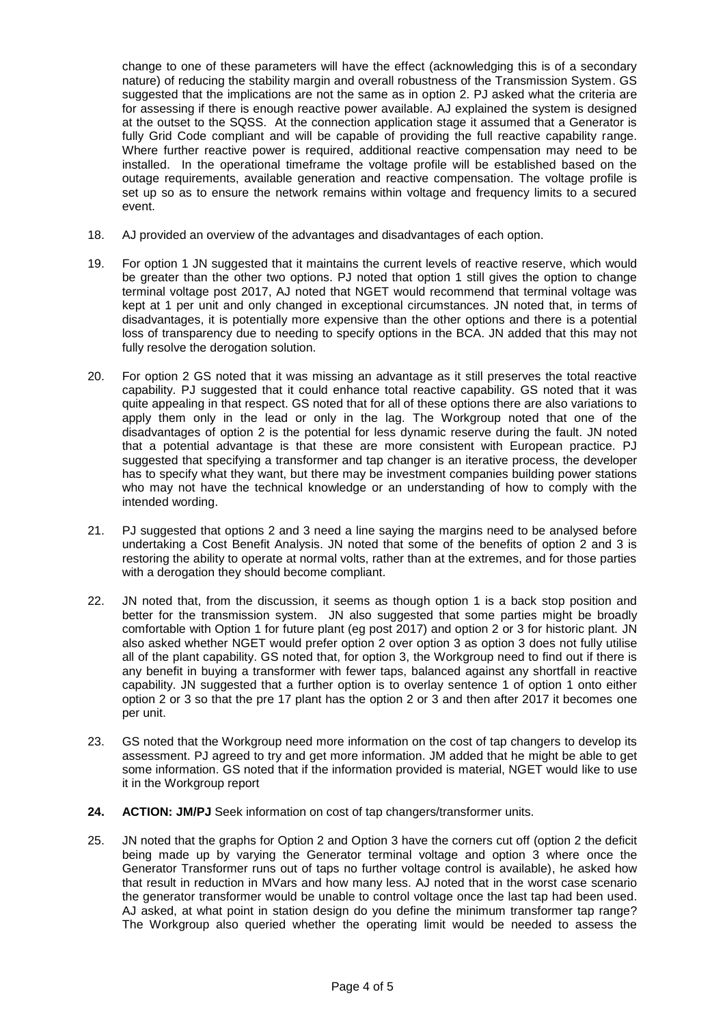change to one of these parameters will have the effect (acknowledging this is of a secondary nature) of reducing the stability margin and overall robustness of the Transmission System. GS suggested that the implications are not the same as in option 2. PJ asked what the criteria are for assessing if there is enough reactive power available. AJ explained the system is designed at the outset to the SQSS. At the connection application stage it assumed that a Generator is fully Grid Code compliant and will be capable of providing the full reactive capability range. Where further reactive power is required, additional reactive compensation may need to be installed. In the operational timeframe the voltage profile will be established based on the outage requirements, available generation and reactive compensation. The voltage profile is set up so as to ensure the network remains within voltage and frequency limits to a secured event.

- 18. AJ provided an overview of the advantages and disadvantages of each option.
- 19. For option 1 JN suggested that it maintains the current levels of reactive reserve, which would be greater than the other two options. PJ noted that option 1 still gives the option to change terminal voltage post 2017, AJ noted that NGET would recommend that terminal voltage was kept at 1 per unit and only changed in exceptional circumstances. JN noted that, in terms of disadvantages, it is potentially more expensive than the other options and there is a potential loss of transparency due to needing to specify options in the BCA. JN added that this may not fully resolve the derogation solution.
- 20. For option 2 GS noted that it was missing an advantage as it still preserves the total reactive capability. PJ suggested that it could enhance total reactive capability. GS noted that it was quite appealing in that respect. GS noted that for all of these options there are also variations to apply them only in the lead or only in the lag. The Workgroup noted that one of the disadvantages of option 2 is the potential for less dynamic reserve during the fault. JN noted that a potential advantage is that these are more consistent with European practice. PJ suggested that specifying a transformer and tap changer is an iterative process, the developer has to specify what they want, but there may be investment companies building power stations who may not have the technical knowledge or an understanding of how to comply with the intended wording.
- 21. PJ suggested that options 2 and 3 need a line saying the margins need to be analysed before undertaking a Cost Benefit Analysis. JN noted that some of the benefits of option 2 and 3 is restoring the ability to operate at normal volts, rather than at the extremes, and for those parties with a derogation they should become compliant.
- 22. JN noted that, from the discussion, it seems as though option 1 is a back stop position and better for the transmission system. JN also suggested that some parties might be broadly comfortable with Option 1 for future plant (eg post 2017) and option 2 or 3 for historic plant. JN also asked whether NGET would prefer option 2 over option 3 as option 3 does not fully utilise all of the plant capability. GS noted that, for option 3, the Workgroup need to find out if there is any benefit in buying a transformer with fewer taps, balanced against any shortfall in reactive capability. JN suggested that a further option is to overlay sentence 1 of option 1 onto either option 2 or 3 so that the pre 17 plant has the option 2 or 3 and then after 2017 it becomes one per unit.
- 23. GS noted that the Workgroup need more information on the cost of tap changers to develop its assessment. PJ agreed to try and get more information. JM added that he might be able to get some information. GS noted that if the information provided is material, NGET would like to use it in the Workgroup report
- **24. ACTION: JM/PJ** Seek information on cost of tap changers/transformer units.
- 25. JN noted that the graphs for Option 2 and Option 3 have the corners cut off (option 2 the deficit being made up by varying the Generator terminal voltage and option 3 where once the Generator Transformer runs out of taps no further voltage control is available), he asked how that result in reduction in MVars and how many less. AJ noted that in the worst case scenario the generator transformer would be unable to control voltage once the last tap had been used. AJ asked, at what point in station design do you define the minimum transformer tap range? The Workgroup also queried whether the operating limit would be needed to assess the